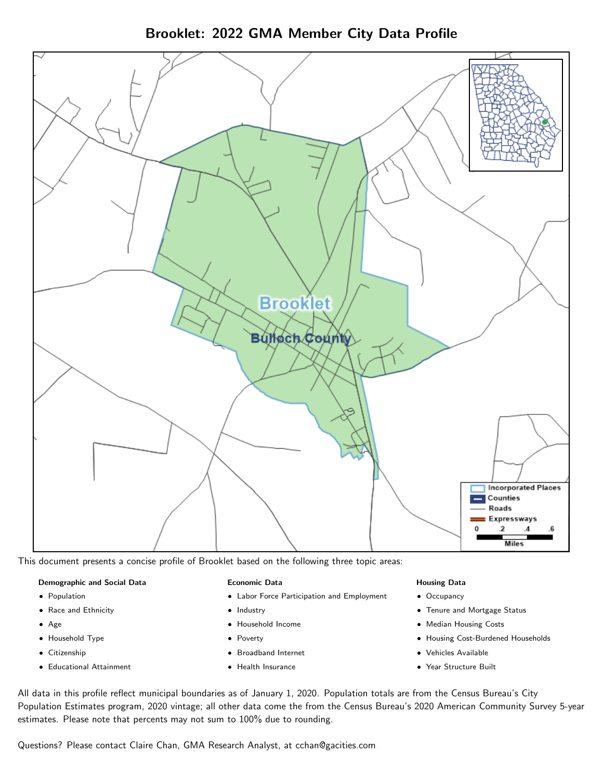Brooklet: 2022 GMA Member City Data Profile



This document presents a concise profile of Brooklet based on the following three topic areas:

#### Demographic and Social Data

- **•** Population
- Race and Ethnicity
- Age
- Household Type
- **Citizenship**
- Educational Attainment

#### Economic Data

- Labor Force Participation and Employment
- Industry
- Household Income
- Poverty
- Broadband Internet
- Health Insurance

#### Housing Data

- Occupancy
- Tenure and Mortgage Status
- Median Housing Costs
- Housing Cost-Burdened Households
- Vehicles Available
- Year Structure Built

All data in this profile reflect municipal boundaries as of January 1, 2020. Population totals are from the Census Bureau's City Population Estimates program, 2020 vintage; all other data come the from the Census Bureau's 2020 American Community Survey 5-year estimates. Please note that percents may not sum to 100% due to rounding.

Questions? Please contact Claire Chan, GMA Research Analyst, at [cchan@gacities.com.](mailto:cchan@gacities.com)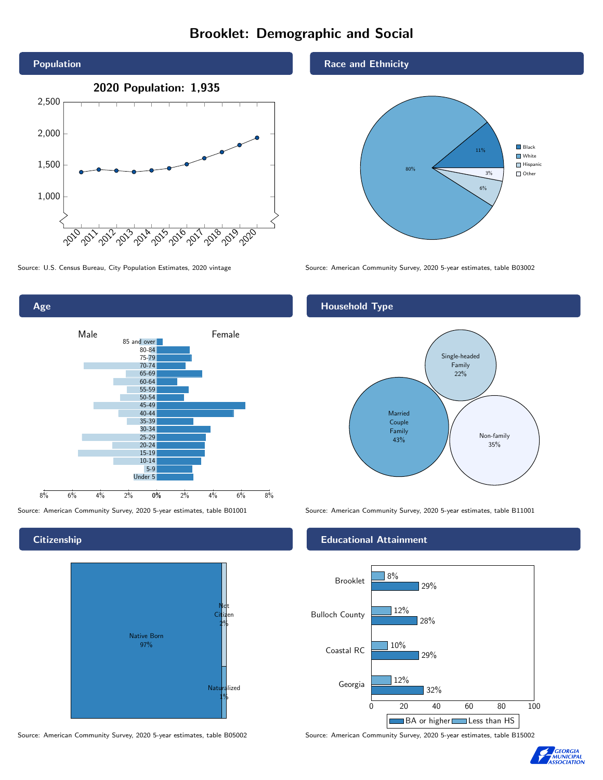# Brooklet: Demographic and Social



Age Male **Female** 85 and over 80-84



**Citizenship** 



Source: American Community Survey, 2020 5-year estimates, table B05002 Source: American Community Survey, 2020 5-year estimates, table B15002

### Race and Ethnicity



Source: U.S. Census Bureau, City Population Estimates, 2020 vintage Source: American Community Survey, 2020 5-year estimates, table B03002

## Household Type



Source: American Community Survey, 2020 5-year estimates, table B01001 Source: American Community Survey, 2020 5-year estimates, table B11001

### Educational Attainment



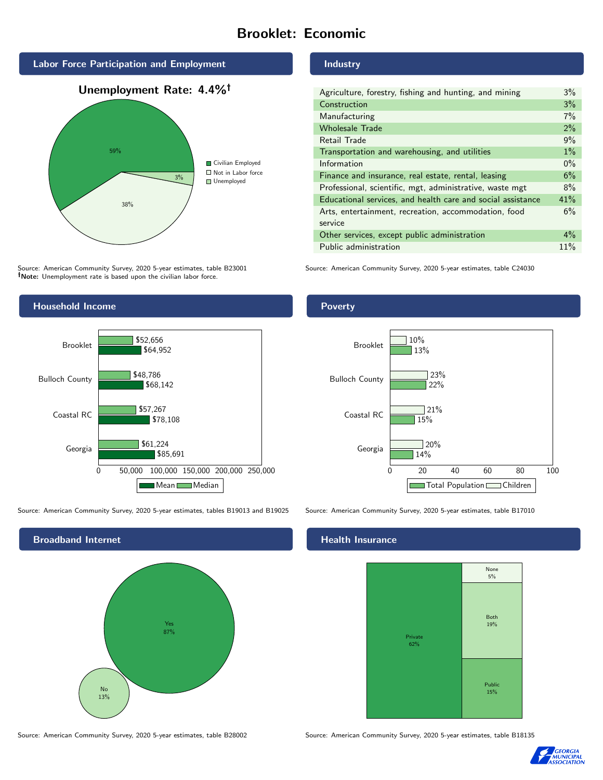# Brooklet: Economic







Source: American Community Survey, 2020 5-year estimates, table B23001 Note: Unemployment rate is based upon the civilian labor force.

### Industry

| Agriculture, forestry, fishing and hunting, and mining      | $3\%$ |
|-------------------------------------------------------------|-------|
| Construction                                                | 3%    |
| Manufacturing                                               | 7%    |
| <b>Wholesale Trade</b>                                      | 2%    |
| Retail Trade                                                | 9%    |
| Transportation and warehousing, and utilities               | $1\%$ |
| Information                                                 | $0\%$ |
| Finance and insurance, real estate, rental, leasing         | 6%    |
| Professional, scientific, mgt, administrative, waste mgt    | 8%    |
| Educational services, and health care and social assistance | 41%   |
| Arts, entertainment, recreation, accommodation, food        | 6%    |
| service                                                     |       |
| Other services, except public administration                | $4\%$ |
| Public administration                                       | 11%   |

Source: American Community Survey, 2020 5-year estimates, table C24030



Source: American Community Survey, 2020 5-year estimates, tables B19013 and B19025 Source: American Community Survey, 2020 5-year estimates, table B17010



Source: American Community Survey, 2020 5-year estimates, table B28002 Source: American Community Survey, 2020 5-year estimates, table B18135

## **Health Insurance**